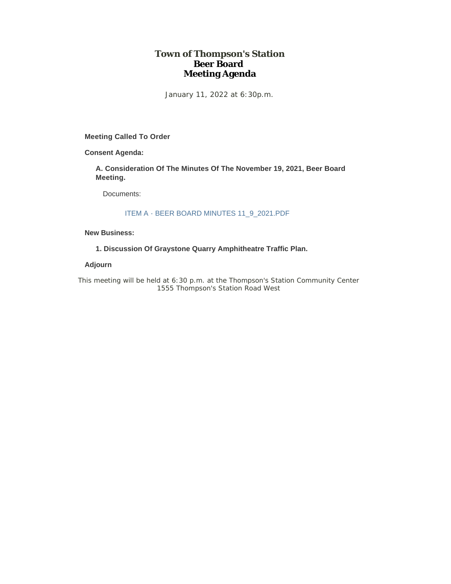### **Town of Thompson's Station Beer Board Meeting Agenda**

January 11, 2022 at 6:30p.m.

**Meeting Called To Order**

**Consent Agenda:**

**A. Consideration Of The Minutes Of The November 19, 2021, Beer Board Meeting.** 

Documents:

### ITEM A - BEER BOARD MINUTES 11\_9\_2021.PDF

#### **New Business:**

**1. Discussion Of Graystone Quarry Amphitheatre Traffic Plan.**

### **Adjourn**

*This meeting will be held at 6:30 p.m. at the Thompson's Station Community Center 1555 Thompson's Station Road West*